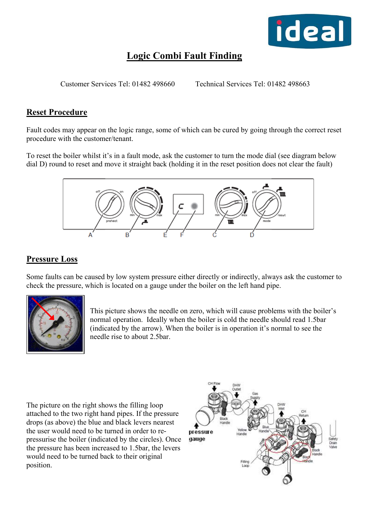

# **Logic Combi Fault Finding**

Customer Services Tel: 01482 498660 Technical Services Tel: 01482 498663

## **Reset Procedure**

Fault codes may appear on the logic range, some of which can be cured by going through the correct reset procedure with the customer/tenant.

To reset the boiler whilst it's in a fault mode, ask the customer to turn the mode dial (see diagram below dial D) round to reset and move it straight back (holding it in the reset position does not clear the fault)



## **Pressure Loss**

Some faults can be caused by low system pressure either directly or indirectly, always ask the customer to check the pressure, which is located on a gauge under the boiler on the left hand pipe.



This picture shows the needle on zero, which will cause problems with the boiler's normal operation. Ideally when the boiler is cold the needle should read 1.5bar (indicated by the arrow). When the boiler is in operation it's normal to see the needle rise to about 2.5bar.

The picture on the right shows the filling loop attached to the two right hand pipes. If the pressure drops (as above) the blue and black levers nearest the user would need to be turned in order to repressurise the boiler (indicated by the circles). Once the pressure has been increased to 1.5bar, the levers would need to be turned back to their original position.

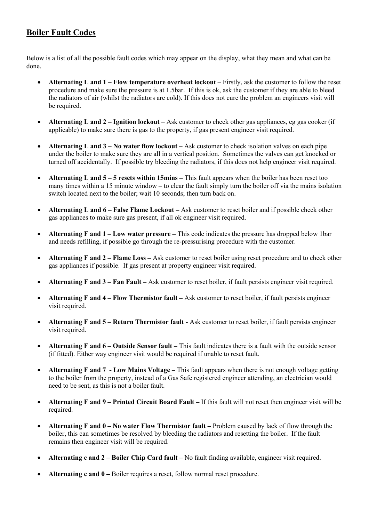## **Boiler Fault Codes**

Below is a list of all the possible fault codes which may appear on the display, what they mean and what can be done.

- **Alternating L and 1 Flow temperature overheat lockout** Firstly, ask the customer to follow the reset procedure and make sure the pressure is at 1.5bar. If this is ok, ask the customer if they are able to bleed the radiators of air (whilst the radiators are cold). If this does not cure the problem an engineers visit will be required.
- **Alternating L and 2 Ignition lockout** Ask customer to check other gas appliances, eg gas cooker (if applicable) to make sure there is gas to the property, if gas present engineer visit required.
- **Alternating L and 3 No water flow lockout** Ask customer to check isolation valves on each pipe under the boiler to make sure they are all in a vertical position. Sometimes the valves can get knocked or turned off accidentally. If possible try bleeding the radiators, if this does not help engineer visit required.
- **Alternating L and 5 5 resets within 15mins –** This fault appears when the boiler has been reset too many times within a 15 minute window – to clear the fault simply turn the boiler off via the mains isolation switch located next to the boiler; wait 10 seconds; then turn back on.
- **Alternating L and 6 False Flame Lockout** Ask customer to reset boiler and if possible check other gas appliances to make sure gas present, if all ok engineer visit required.
- **Alternating F and 1 Low water pressure –** This code indicates the pressure has dropped below 1 bar and needs refilling, if possible go through the re-pressurising procedure with the customer.
- **Alternating F and 2 Flame Loss** Ask customer to reset boiler using reset procedure and to check other gas appliances if possible. If gas present at property engineer visit required.
- **Alternating F and 3 Fan Fault** Ask customer to reset boiler, if fault persists engineer visit required.
- **Alternating F and 4 Flow Thermistor fault** Ask customer to reset boiler, if fault persists engineer visit required.
- **Alternating F and 5 Return Thermistor fault** Ask customer to reset boiler, if fault persists engineer visit required.
- **Alternating F and 6 Outside Sensor fault** This fault indicates there is a fault with the outside sensor (if fitted). Either way engineer visit would be required if unable to reset fault.
- **Alternating F and 7 Low Mains Voltage** This fault appears when there is not enough voltage getting to the boiler from the property, instead of a Gas Safe registered engineer attending, an electrician would need to be sent, as this is not a boiler fault.
- **Alternating F and 9 Printed Circuit Board Fault** If this fault will not reset then engineer visit will be required.
- **Alternating F and 0 No water Flow Thermistor fault Problem caused by lack of flow through the** boiler, this can sometimes be resolved by bleeding the radiators and resetting the boiler. If the fault remains then engineer visit will be required.
- **Alternating c and 2 Boiler Chip Card fault** No fault finding available, engineer visit required.
- **Alternating c and 0** Boiler requires a reset, follow normal reset procedure.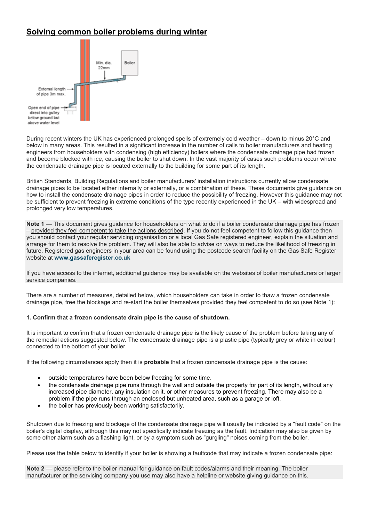## **Solving common boiler problems during winter**



During recent winters the UK has experienced prolonged spells of extremely cold weather – down to minus 20°C and below in many areas. This resulted in a significant increase in the number of calls to boiler manufacturers and heating engineers from householders with condensing (high efficiency) boilers where the condensate drainage pipe had frozen and become blocked with ice, causing the boiler to shut down. In the vast majority of cases such problems occur where the condensate drainage pipe is located externally to the building for some part of its length.

British Standards, Building Regulations and boiler manufacturers' installation instructions currently allow condensate drainage pipes to be located either internally or externally, or a combination of these. These documents give guidance on how to install the condensate drainage pipes in order to reduce the possibility of freezing. However this guidance may not be sufficient to prevent freezing in extreme conditions of the type recently experienced in the UK – with widespread and prolonged very low temperatures.

**Note 1** — This document gives guidance for householders on what to do if a boiler condensate drainage pipe has frozen – provided they feel competent to take the actions described. If you do not feel competent to follow this guidance then you should contact your regular servicing organisation or a local Gas Safe registered engineer, explain the situation and arrange for them to resolve the problem. They will also be able to advise on ways to reduce the likelihood of freezing in future. Registered gas engineers in your area can be found using the postcode search facility on the Gas Safe Register website at **[www.gassaferegister.co.uk](http://www.gassaferegister.co.uk/)**

If you have access to the internet, additional guidance may be available on the websites of boiler manufacturers or larger service companies.

There are a number of measures, detailed below, which householders can take in order to thaw a frozen condensate drainage pipe, free the blockage and re-start the boiler themselves provided they feel competent to do so (see Note 1):

## **1. Confirm that a frozen condensate drain pipe is the cause of shutdown.**

It is important to confirm that a frozen condensate drainage pipe **is** the likely cause of the problem before taking any of the remedial actions suggested below. The condensate drainage pipe is a plastic pipe (typically grey or white in colour) connected to the bottom of your boiler.

If the following circumstances apply then it is **probable** that a frozen condensate drainage pipe is the cause:

- outside temperatures have been below freezing for some time.
- the condensate drainage pipe runs through the wall and outside the property for part of its length, without any increased pipe diameter, any insulation on it, or other measures to prevent freezing. There may also be a problem if the pipe runs through an enclosed but unheated area, such as a garage or loft.
- the boiler has previously been working satisfactorily.

Shutdown due to freezing and blockage of the condensate drainage pipe will usually be indicated by a "fault code" on the boiler's digital display, although this may not specifically indicate freezing as the fault. Indication may also be given by some other alarm such as a flashing light, or by a symptom such as "gurgling" noises coming from the boiler.

Please use the table below to identify if your boiler is showing a faultcode that may indicate a frozen condensate pipe:

**Note 2** — please refer to the boiler manual for guidance on fault codes/alarms and their meaning. The boiler manufacturer or the servicing company you use may also have a helpline or website giving guidance on this.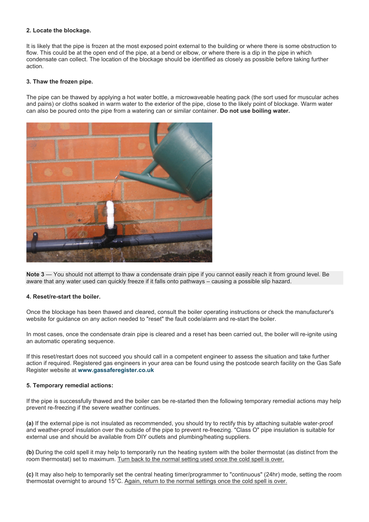### **2. Locate the blockage.**

It is likely that the pipe is frozen at the most exposed point external to the building or where there is some obstruction to flow. This could be at the open end of the pipe, at a bend or elbow, or where there is a dip in the pipe in which condensate can collect. The location of the blockage should be identified as closely as possible before taking further action.

#### **3. Thaw the frozen pipe.**

The pipe can be thawed by applying a hot water bottle, a microwaveable heating pack (the sort used for muscular aches and pains) or cloths soaked in warm water to the exterior of the pipe, close to the likely point of blockage. Warm water can also be poured onto the pipe from a watering can or similar container. **Do not use boiling water.** 



**Note 3** — You should not attempt to thaw a condensate drain pipe if you cannot easily reach it from ground level. Be aware that any water used can quickly freeze if it falls onto pathways – causing a possible slip hazard.

#### **4. Reset/re-start the boiler.**

Once the blockage has been thawed and cleared, consult the boiler operating instructions or check the manufacturer's website for guidance on any action needed to "reset" the fault code/alarm and re-start the boiler.

In most cases, once the condensate drain pipe is cleared and a reset has been carried out, the boiler will re-ignite using an automatic operating sequence.

If this reset/restart does not succeed you should call in a competent engineer to assess the situation and take further action if required. Registered gas engineers in your area can be found using the postcode search facility on the Gas Safe Register website at **[www.gassaferegister.co.uk](http://www.gassaferegister.co.uk/)**

#### **5. Temporary remedial actions:**

If the pipe is successfully thawed and the boiler can be re-started then the following temporary remedial actions may help prevent re-freezing if the severe weather continues.

**(a)** If the external pipe is not insulated as recommended, you should try to rectify this by attaching suitable water-proof and weather-proof insulation over the outside of the pipe to prevent re-freezing. "Class O" pipe insulation is suitable for external use and should be available from DIY outlets and plumbing/heating suppliers.

**(b)** During the cold spell it may help to temporarily run the heating system with the boiler thermostat (as distinct from the room thermostat) set to maximum. Turn back to the normal setting used once the cold spell is over.

**(c)** It may also help to temporarily set the central heating timer/programmer to "continuous" (24hr) mode, setting the room thermostat overnight to around 15°C. Again, return to the normal settings once the cold spell is over.